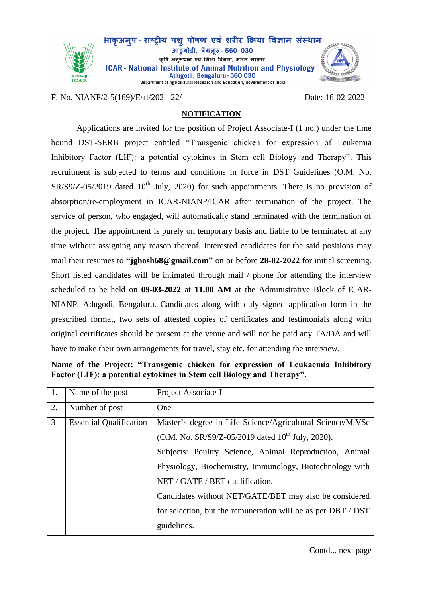

F. No. NIANP/2-5(169)/Estt/2021-22/ Date: 16-02-2022

## **NOTIFICATION**

Applications are invited for the position of Project Associate-I (1 no.) under the time bound DST-SERB project entitled "Transgenic chicken for expression of Leukemia Inhibitory Factor (LIF): a potential cytokines in Stem cell Biology and Therapy". This recruitment is subjected to terms and conditions in force in DST Guidelines (O.M. No.  $SR/S9/Z-05/2019$  dated  $10<sup>th</sup>$  July, 2020) for such appointments. There is no provision of absorption/re-employment in ICAR-NIANP/ICAR after termination of the project. The service of person, who engaged, will automatically stand terminated with the termination of the project. The appointment is purely on temporary basis and liable to be terminated at any time without assigning any reason thereof. Interested candidates for the said positions may mail their resumes to **"jghosh68@gmail.com"** on or before **28-02-2022** for initial screening. Short listed candidates will be intimated through mail / phone for attending the interview scheduled to be held on **09-03-2022** at **11.00 AM** at the Administrative Block of ICAR-NIANP, Adugodi, Bengaluru. Candidates along with duly signed application form in the prescribed format, two sets of attested copies of certificates and testimonials along with original certificates should be present at the venue and will not be paid any TA/DA and will have to make their own arrangements for travel, stay etc. for attending the interview.

| 1. | Name of the post               | Project Associate-I                                          |  |  |
|----|--------------------------------|--------------------------------------------------------------|--|--|
| 2. | Number of post                 | One                                                          |  |  |
| 3  | <b>Essential Qualification</b> | Master's degree in Life Science/Agricultural Science/M.VSc   |  |  |
|    |                                | (O.M. No. SR/S9/Z-05/2019 dated $10^{th}$ July, 2020).       |  |  |
|    |                                | Subjects: Poultry Science, Animal Reproduction, Animal       |  |  |
|    |                                | Physiology, Biochemistry, Immunology, Biotechnology with     |  |  |
|    |                                | NET / GATE / BET qualification.                              |  |  |
|    |                                | Candidates without NET/GATE/BET may also be considered       |  |  |
|    |                                | for selection, but the remuneration will be as per DBT / DST |  |  |
|    |                                | guidelines.                                                  |  |  |

**Name of the Project: "Transgenic chicken for expression of Leukaemia Inhibitory Factor (LIF): a potential cytokines in Stem cell Biology and Therapy".**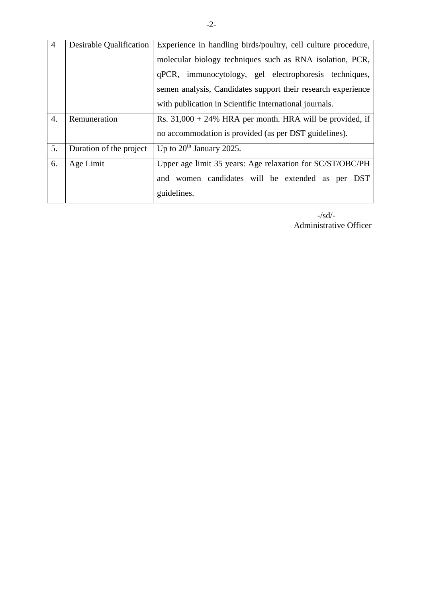| $\overline{4}$   | Desirable Qualification | Experience in handling birds/poultry, cell culture procedure, |  |  |  |
|------------------|-------------------------|---------------------------------------------------------------|--|--|--|
|                  |                         | molecular biology techniques such as RNA isolation, PCR,      |  |  |  |
|                  |                         | qPCR, immunocytology, gel electrophoresis techniques,         |  |  |  |
|                  |                         | semen analysis, Candidates support their research experience  |  |  |  |
|                  |                         | with publication in Scientific International journals.        |  |  |  |
| $\overline{4}$ . | Remuneration            | Rs. $31,000 + 24\%$ HRA per month. HRA will be provided, if   |  |  |  |
|                  |                         | no accommodation is provided (as per DST guidelines).         |  |  |  |
| 5.               | Duration of the project | Up to $20^{th}$ January 2025.                                 |  |  |  |
| 6.               | Age Limit               | Upper age limit 35 years: Age relaxation for SC/ST/OBC/PH     |  |  |  |
|                  |                         | women candidates will be extended as per DST<br>and           |  |  |  |
|                  |                         | guidelines.                                                   |  |  |  |

 -/sd/- Administrative Officer

 $\overline{\phantom{a}}$